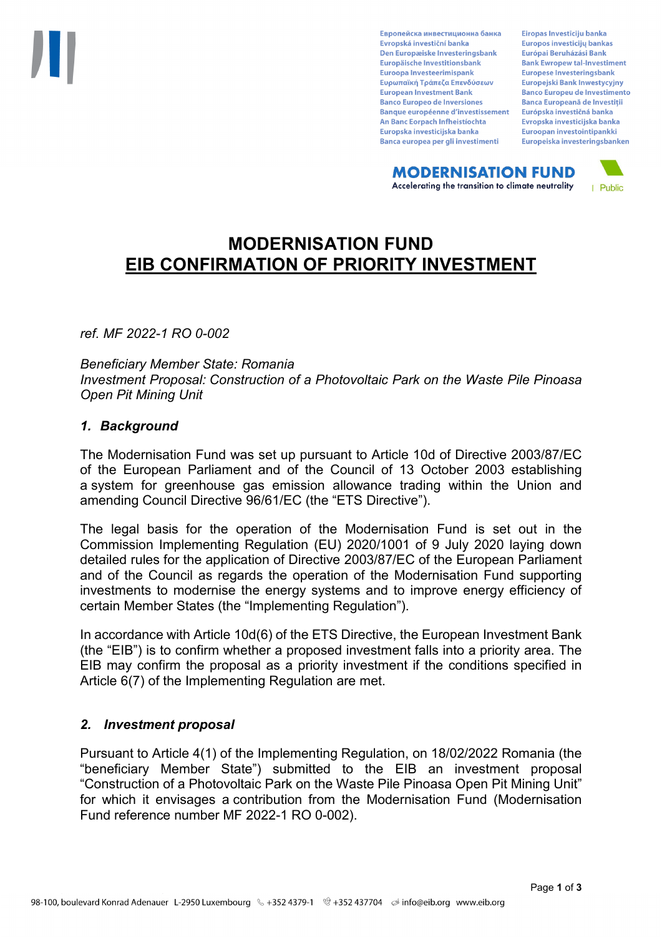Европейска инвестиционна банка Evropská investiční banka Den Europæiske Investeringsbank Europäische Investitionsbank Euroopa Investeerimispank Ευρωπαϊκή Τράπεζα Επενδύσεων **European Investment Bank Banco Europeo de Inversiones Banque européenne d'investissement** An Banc Eorpach Infheistíochta Europska investicijska banka Banca europea per gli investimenti

Eiropas Investīciju banka Europos investicijų bankas Európai Beruházási Bank **Bank Ewropew tal-Investiment** Europese Investeringsbank **Europeiski Bank Inwestycviny Banco Europeu de Investimento Banca Europeană de Investiții** Európska investičná banka Evropska investicijska banka Euroopan investointipankki Europeiska investeringsbanken

**MODERNISATION FUND** Accelerating the transition to climate neutrality



# **MODERNISATION FUND EIB CONFIRMATION OF PRIORITY INVESTMENT**

*ref. MF 2022-1 RO 0-002*

*Beneficiary Member State: Romania Investment Proposal: Construction of a Photovoltaic Park on the Waste Pile Pinoasa Open Pit Mining Unit*

### *1. Background*

The Modernisation Fund was set up pursuant to Article 10d of Directive 2003/87/EC of the European Parliament and of the Council of 13 October 2003 establishing a system for greenhouse gas emission allowance trading within the Union and amending Council Directive 96/61/EC (the "ETS Directive").

The legal basis for the operation of the Modernisation Fund is set out in the Commission Implementing Regulation (EU) 2020/1001 of 9 July 2020 laying down detailed rules for the application of Directive 2003/87/EC of the European Parliament and of the Council as regards the operation of the Modernisation Fund supporting investments to modernise the energy systems and to improve energy efficiency of certain Member States (the "Implementing Regulation").

In accordance with Article 10d(6) of the ETS Directive, the European Investment Bank (the "EIB") is to confirm whether a proposed investment falls into a priority area. The EIB may confirm the proposal as a priority investment if the conditions specified in Article 6(7) of the Implementing Regulation are met.

### *2. Investment proposal*

Pursuant to Article 4(1) of the Implementing Regulation, on 18/02/2022 Romania (the "beneficiary Member State") submitted to the EIB an investment proposal "Construction of a Photovoltaic Park on the Waste Pile Pinoasa Open Pit Mining Unit" for which it envisages a contribution from the Modernisation Fund (Modernisation Fund reference number MF 2022-1 RO 0-002).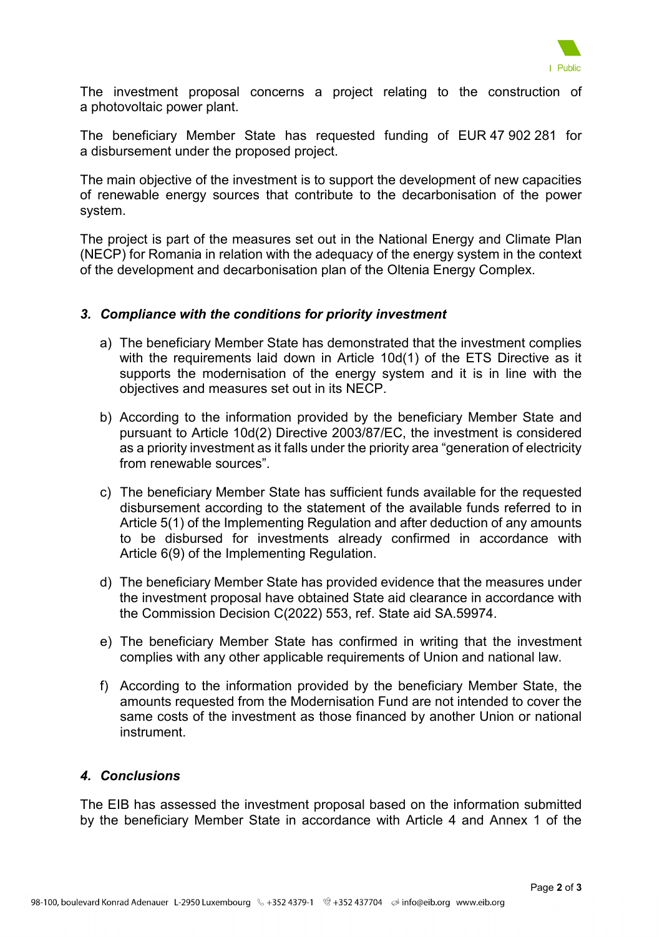

The investment proposal concerns a project relating to the construction of a photovoltaic power plant.

The beneficiary Member State has requested funding of EUR 47 902 281 for a disbursement under the proposed project.

The main objective of the investment is to support the development of new capacities of renewable energy sources that contribute to the decarbonisation of the power system.

The project is part of the measures set out in the National Energy and Climate Plan (NECP) for Romania in relation with the adequacy of the energy system in the context of the development and decarbonisation plan of the Oltenia Energy Complex.

### *3. Compliance with the conditions for priority investment*

- a) The beneficiary Member State has demonstrated that the investment complies with the requirements laid down in Article 10d(1) of the ETS Directive as it supports the modernisation of the energy system and it is in line with the objectives and measures set out in its NECP.
- b) According to the information provided by the beneficiary Member State and pursuant to Article 10d(2) Directive 2003/87/EC, the investment is considered as a priority investment as it falls under the priority area "generation of electricity from renewable sources".
- c) The beneficiary Member State has sufficient funds available for the requested disbursement according to the statement of the available funds referred to in Article 5(1) of the Implementing Regulation and after deduction of any amounts to be disbursed for investments already confirmed in accordance with Article 6(9) of the Implementing Regulation.
- d) The beneficiary Member State has provided evidence that the measures under the investment proposal have obtained State aid clearance in accordance with the Commission Decision C(2022) 553, ref. State aid SA.59974.
- e) The beneficiary Member State has confirmed in writing that the investment complies with any other applicable requirements of Union and national law.
- f) According to the information provided by the beneficiary Member State, the amounts requested from the Modernisation Fund are not intended to cover the same costs of the investment as those financed by another Union or national instrument.

## *4. Conclusions*

The EIB has assessed the investment proposal based on the information submitted by the beneficiary Member State in accordance with Article 4 and Annex 1 of the